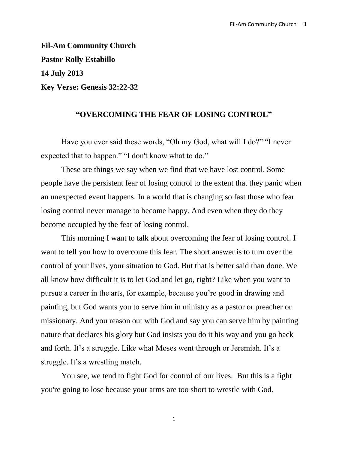**Fil-Am Community Church Pastor Rolly Estabillo 14 July 2013 Key Verse: Genesis 32:22-32**

## **"OVERCOMING THE FEAR OF LOSING CONTROL"**

Have you ever said these words, "Oh my God, what will I do?" "I never expected that to happen." "I don't know what to do."

These are things we say when we find that we have lost control. Some people have the persistent fear of losing control to the extent that they panic when an unexpected event happens. In a world that is changing so fast those who fear losing control never manage to become happy. And even when they do they become occupied by the fear of losing control.

This morning I want to talk about overcoming the fear of losing control. I want to tell you how to overcome this fear. The short answer is to turn over the control of your lives, your situation to God. But that is better said than done. We all know how difficult it is to let God and let go, right? Like when you want to pursue a career in the arts, for example, because you're good in drawing and painting, but God wants you to serve him in ministry as a pastor or preacher or missionary. And you reason out with God and say you can serve him by painting nature that declares his glory but God insists you do it his way and you go back and forth. It's a struggle. Like what Moses went through or Jeremiah. It's a struggle. It's a wrestling match.

You see, we tend to fight God for control of our lives. But this is a fight you're going to lose because your arms are too short to wrestle with God.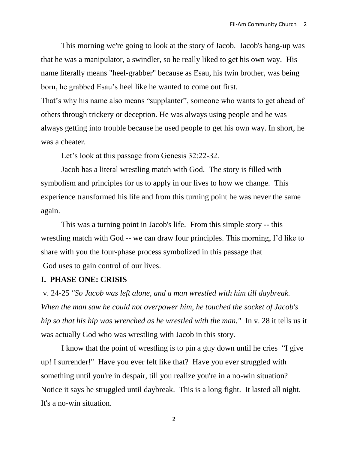This morning we're going to look at the story of Jacob. Jacob's hang-up was that he was a manipulator, a swindler, so he really liked to get his own way. His name literally means "heel-grabber" because as Esau, his twin brother, was being born, he grabbed Esau's heel like he wanted to come out first. That's why his name also means "supplanter", someone who wants to get ahead of

others through trickery or deception. He was always using people and he was always getting into trouble because he used people to get his own way. In short, he was a cheater.

Let's look at this passage from Genesis 32:22-32.

Jacob has a literal wrestling match with God. The story is filled with symbolism and principles for us to apply in our lives to how we change. This experience transformed his life and from this turning point he was never the same again.

This was a turning point in Jacob's life. From this simple story -- this wrestling match with God -- we can draw four principles. This morning, I'd like to share with you the four-phase process symbolized in this passage that God uses to gain control of our lives.

# **I. PHASE ONE: CRISIS**

v. 24-25 *"So Jacob was left alone, and a man wrestled with him till daybreak. When the man saw he could not overpower him, he touched the socket of Jacob's hip so that his hip was wrenched as he wrestled with the man."* In v. 28 it tells us it was actually God who was wrestling with Jacob in this story.

I know that the point of wrestling is to pin a guy down until he cries "I give up! I surrender!" Have you ever felt like that? Have you ever struggled with something until you're in despair, till you realize you're in a no-win situation? Notice it says he struggled until daybreak. This is a long fight. It lasted all night. It's a no-win situation.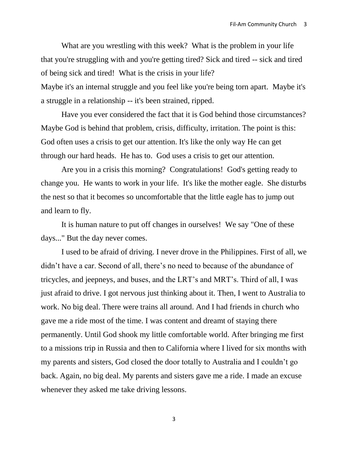What are you wrestling with this week? What is the problem in your life that you're struggling with and you're getting tired? Sick and tired -- sick and tired of being sick and tired! What is the crisis in your life?

Maybe it's an internal struggle and you feel like you're being torn apart. Maybe it's a struggle in a relationship -- it's been strained, ripped.

Have you ever considered the fact that it is God behind those circumstances? Maybe God is behind that problem, crisis, difficulty, irritation. The point is this: God often uses a crisis to get our attention. It's like the only way He can get through our hard heads. He has to. God uses a crisis to get our attention.

Are you in a crisis this morning? Congratulations! God's getting ready to change you. He wants to work in your life. It's like the mother eagle. She disturbs the nest so that it becomes so uncomfortable that the little eagle has to jump out and learn to fly.

It is human nature to put off changes in ourselves! We say "One of these days..." But the day never comes.

I used to be afraid of driving. I never drove in the Philippines. First of all, we didn't have a car. Second of all, there's no need to because of the abundance of tricycles, and jeepneys, and buses, and the LRT's and MRT's. Third of all, I was just afraid to drive. I got nervous just thinking about it. Then, I went to Australia to work. No big deal. There were trains all around. And I had friends in church who gave me a ride most of the time. I was content and dreamt of staying there permanently. Until God shook my little comfortable world. After bringing me first to a missions trip in Russia and then to California where I lived for six months with my parents and sisters, God closed the door totally to Australia and I couldn't go back. Again, no big deal. My parents and sisters gave me a ride. I made an excuse whenever they asked me take driving lessons.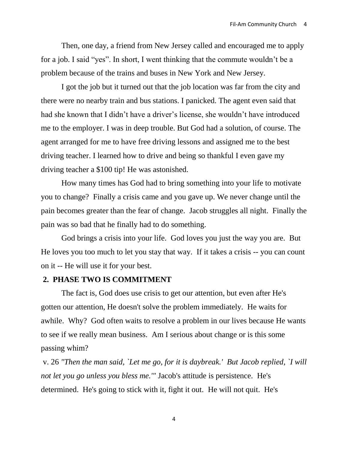Then, one day, a friend from New Jersey called and encouraged me to apply for a job. I said "yes". In short, I went thinking that the commute wouldn't be a problem because of the trains and buses in New York and New Jersey.

I got the job but it turned out that the job location was far from the city and there were no nearby train and bus stations. I panicked. The agent even said that had she known that I didn't have a driver's license, she wouldn't have introduced me to the employer. I was in deep trouble. But God had a solution, of course. The agent arranged for me to have free driving lessons and assigned me to the best driving teacher. I learned how to drive and being so thankful I even gave my driving teacher a \$100 tip! He was astonished.

How many times has God had to bring something into your life to motivate you to change? Finally a crisis came and you gave up. We never change until the pain becomes greater than the fear of change. Jacob struggles all night. Finally the pain was so bad that he finally had to do something.

God brings a crisis into your life. God loves you just the way you are. But He loves you too much to let you stay that way. If it takes a crisis -- you can count on it -- He will use it for your best.

# **2. PHASE TWO IS COMMITMENT**

The fact is, God does use crisis to get our attention, but even after He's gotten our attention, He doesn't solve the problem immediately. He waits for awhile. Why? God often waits to resolve a problem in our lives because He wants to see if we really mean business. Am I serious about change or is this some passing whim?

v. 26 *"Then the man said, `Let me go, for it is daybreak.' But Jacob replied, `I will not let you go unless you bless me.'"* Jacob's attitude is persistence. He's determined. He's going to stick with it, fight it out. He will not quit. He's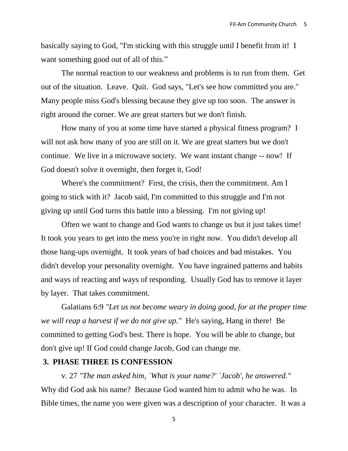basically saying to God, "I'm sticking with this struggle until I benefit from it! I want something good out of all of this."

The normal reaction to our weakness and problems is to run from them. Get out of the situation. Leave. Quit. God says, "Let's see how committed you are." Many people miss God's blessing because they give up too soon. The answer is right around the corner. We are great starters but we don't finish.

How many of you at some time have started a physical fitness program? I will not ask how many of you are still on it. We are great starters but we don't continue. We live in a microwave society. We want instant change -- now! If God doesn't solve it overnight, then forget it, God!

Where's the commitment? First, the crisis, then the commitment. Am I going to stick with it? Jacob said, I'm committed to this struggle and I'm not giving up until God turns this battle into a blessing. I'm not giving up!

Often we want to change and God wants to change us but it just takes time! It took you years to get into the mess you're in right now. You didn't develop all those hang-ups overnight. It took years of bad choices and bad mistakes. You didn't develop your personality overnight. You have ingrained patterns and habits and ways of reacting and ways of responding. Usually God has to remove it layer by layer. That takes commitment.

[Galatians 6:9](http://biblia.com/bible/esv/Galatians%206.9) *"Let us not become weary in doing good, for at the proper time we will reap a harvest if we do not give up."* He's saying, Hang in there! Be committed to getting God's best. There is hope. You will be able to change, but don't give up! If God could change Jacob, God can change me.

#### **3. PHASE THREE IS CONFESSION**

v. 27 *"The man asked him, `What is your name?' `Jacob', he answered."* Why did God ask his name? Because God wanted him to admit who he was. In Bible times, the name you were given was a description of your character. It was a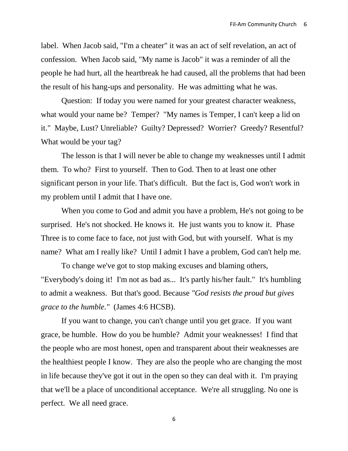label. When Jacob said, "I'm a cheater" it was an act of self revelation, an act of confession. When Jacob said, "My name is Jacob" it was a reminder of all the people he had hurt, all the heartbreak he had caused, all the problems that had been the result of his hang-ups and personality. He was admitting what he was.

Question: If today you were named for your greatest character weakness, what would your name be? Temper? "My names is Temper, I can't keep a lid on it." Maybe, Lust? Unreliable? Guilty? Depressed? Worrier? Greedy? Resentful? What would be your tag?

The lesson is that I will never be able to change my weaknesses until I admit them. To who? First to yourself. Then to God. Then to at least one other significant person in your life. That's difficult. But the fact is, God won't work in my problem until I admit that I have one.

When you come to God and admit you have a problem, He's not going to be surprised. He's not shocked. He knows it. He just wants you to know it. Phase Three is to come face to face, not just with God, but with yourself. What is my name? What am I really like? Until I admit I have a problem, God can't help me.

To change we've got to stop making excuses and blaming others, "Everybody's doing it! I'm not as bad as... It's partly his/her fault." It's humbling to admit a weakness. But that's good. Because *"God resists the proud but gives grace to the humble."* (James 4:6 HCSB).

If you want to change, you can't change until you get grace. If you want grace, be humble. How do you be humble? Admit your weaknesses! I find that the people who are most honest, open and transparent about their weaknesses are the healthiest people I know. They are also the people who are changing the most in life because they've got it out in the open so they can deal with it. I'm praying that we'll be a place of unconditional acceptance. We're all struggling. No one is perfect. We all need grace.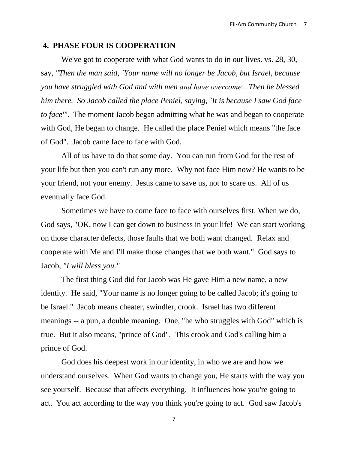#### **4. PHASE FOUR IS COOPERATION**

We've got to cooperate with what God wants to do in our lives. vs. 28, 30, say, *"Then the man said, `Your name will no longer be Jacob, but Israel, because you have struggled with God and with men and have overcome…Then he blessed him there. So Jacob called the place Peniel, saying, `It is because I saw God face to face'".* The moment Jacob began admitting what he was and began to cooperate with God, He began to change. He called the place Peniel which means "the face of God". Jacob came face to face with God.

All of us have to do that some day. You can run from God for the rest of your life but then you can't run any more. Why not face Him now? He wants to be your friend, not your enemy. Jesus came to save us, not to scare us. All of us eventually face God.

Sometimes we have to come face to face with ourselves first. When we do, God says, "OK, now I can get down to business in your life! We can start working on those character defects, those faults that we both want changed. Relax and cooperate with Me and I'll make those changes that we both want." God says to Jacob, *"I will bless you."*

The first thing God did for Jacob was He gave Him a new name, a new identity. He said, "Your name is no longer going to be called Jacob; it's going to be Israel." Jacob means cheater, swindler, crook. Israel has two different meanings -- a pun, a double meaning. One, "he who struggles with God" which is true. But it also means, "prince of God". This crook and God's calling him a prince of God.

God does his deepest work in our identity, in who we are and how we understand ourselves. When God wants to change you, He starts with the way you see yourself. Because that affects everything. It influences how you're going to act. You act according to the way you think you're going to act. God saw Jacob's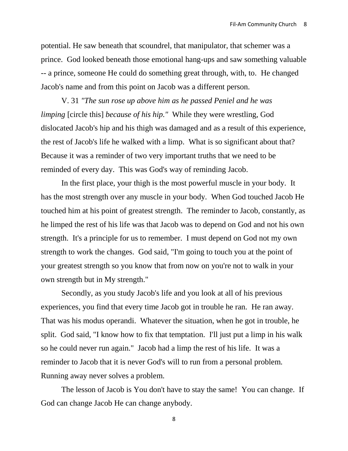potential. He saw beneath that scoundrel, that manipulator, that schemer was a prince. God looked beneath those emotional hang-ups and saw something valuable -- a prince, someone He could do something great through, with, to. He changed Jacob's name and from this point on Jacob was a different person.

V. 31 *"The sun rose up above him as he passed Peniel and he was limping* [circle this] *because of his hip."* While they were wrestling, God dislocated Jacob's hip and his thigh was damaged and as a result of this experience, the rest of Jacob's life he walked with a limp. What is so significant about that? Because it was a reminder of two very important truths that we need to be reminded of every day. This was God's way of reminding Jacob.

In the first place, your thigh is the most powerful muscle in your body. It has the most strength over any muscle in your body. When God touched Jacob He touched him at his point of greatest strength. The reminder to Jacob, constantly, as he limped the rest of his life was that Jacob was to depend on God and not his own strength. It's a principle for us to remember. I must depend on God not my own strength to work the changes. God said, "I'm going to touch you at the point of your greatest strength so you know that from now on you're not to walk in your own strength but in My strength."

Secondly, as you study Jacob's life and you look at all of his previous experiences, you find that every time Jacob got in trouble he ran. He ran away. That was his modus operandi. Whatever the situation, when he got in trouble, he split. God said, "I know how to fix that temptation. I'll just put a limp in his walk so he could never run again." Jacob had a limp the rest of his life. It was a reminder to Jacob that it is never God's will to run from a personal problem. Running away never solves a problem.

The lesson of Jacob is You don't have to stay the same! You can change. If God can change Jacob He can change anybody.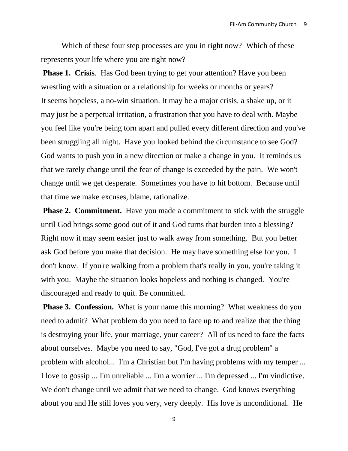Which of these four step processes are you in right now? Which of these represents your life where you are right now?

**Phase 1. Crisis**. Has God been trying to get your attention? Have you been wrestling with a situation or a relationship for weeks or months or years? It seems hopeless, a no-win situation. It may be a major crisis, a shake up, or it may just be a perpetual irritation, a frustration that you have to deal with. Maybe you feel like you're being torn apart and pulled every different direction and you've been struggling all night. Have you looked behind the circumstance to see God? God wants to push you in a new direction or make a change in you. It reminds us that we rarely change until the fear of change is exceeded by the pain. We won't change until we get desperate. Sometimes you have to hit bottom. Because until that time we make excuses, blame, rationalize.

**Phase 2. Commitment.** Have you made a commitment to stick with the struggle until God brings some good out of it and God turns that burden into a blessing? Right now it may seem easier just to walk away from something. But you better ask God before you make that decision. He may have something else for you. I don't know. If you're walking from a problem that's really in you, you're taking it with you. Maybe the situation looks hopeless and nothing is changed. You're discouraged and ready to quit. Be committed.

**Phase 3. Confession.** What is your name this morning? What weakness do you need to admit? What problem do you need to face up to and realize that the thing is destroying your life, your marriage, your career? All of us need to face the facts about ourselves. Maybe you need to say, "God, I've got a drug problem" a problem with alcohol... I'm a Christian but I'm having problems with my temper ... I love to gossip ... I'm unreliable ... I'm a worrier ... I'm depressed ... I'm vindictive. We don't change until we admit that we need to change. God knows everything about you and He still loves you very, very deeply. His love is unconditional. He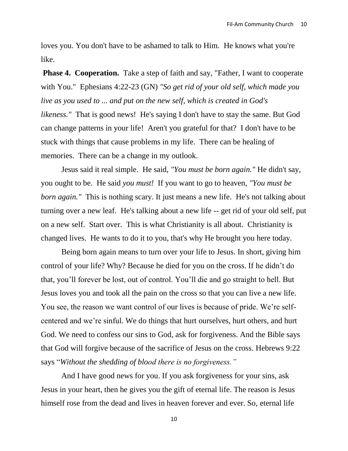loves you. You don't have to be ashamed to talk to Him. He knows what you're like.

**Phase 4. Cooperation.** Take a step of faith and say, "Father, I want to cooperate with You." [Ephesians 4:22-23](http://biblia.com/bible/esv/Ephesians%204.22-23) (GN) *"So get rid of your old self, which made you live as you used to ... and put on the new self, which is created in God's likeness."* That is good news! He's saying I don't have to stay the same. But God can change patterns in your life! Aren't you grateful for that? I don't have to be stuck with things that cause problems in my life. There can be healing of memories. There can be a change in my outlook.

Jesus said it real simple. He said, *"You must be born again."* He didn't say, you ought to be. He said *you must!* If you want to go to heaven, *"You must be born again."* This is nothing scary. It just means a new life. He's not talking about turning over a new leaf. He's talking about a new life -- get rid of your old self, put on a new self. Start over. This is what Christianity is all about. Christianity is changed lives. He wants to do it to you, that's why He brought you here today.

Being born again means to turn over your life to Jesus. In short, giving him control of your life? Why? Because he died for you on the cross. If he didn't do that, you'll forever be lost, out of control. You'll die and go straight to hell. But Jesus loves you and took all the pain on the cross so that you can live a new life. You see, the reason we want control of our lives is because of pride. We're selfcentered and we're sinful. We do things that hurt ourselves, hurt others, and hurt God. We need to confess our sins to God, ask for forgiveness. And the Bible says that God will forgive because of the sacrifice of Jesus on the cross. Hebrews 9:22 says "*Without the shedding of blood there is no forgiveness."*

And I have good news for you. If you ask forgiveness for your sins, ask Jesus in your heart, then he gives you the gift of eternal life. The reason is Jesus himself rose from the dead and lives in heaven forever and ever. So, eternal life